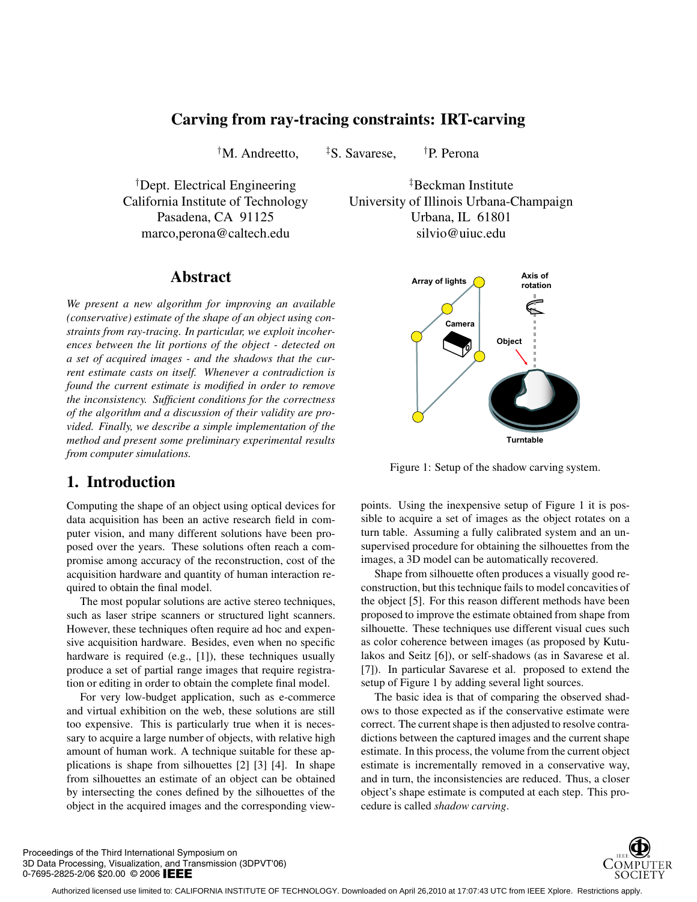## **Carving from ray-tracing constraints: IRT-carving**

<sup>†</sup>M. Andreetto,  ${}^{\ddagger}S$ , Savarese,  ${}^{\dagger}P$ . Perona

marco,perona@caltech.edu silvio@uiuc.edu

<sup>†</sup>Dept. Electrical Engineering  ${}^{\ddagger}$ Beckman Institute California Institute of Technology University of Illinois Urbana-Champaign Pasadena, CA 91125 Urbana, IL 61801

### **Abstract**

*We present a new algorithm for improving an available (conservative) estimate of the shape of an object using constraints from ray-tracing. In particular, we exploit incoherences between the lit portions of the object - detected on a set of acquired images - and the shadows that the current estimate casts on itself. Whenever a contradiction is found the current estimate is modified in order to remove the inconsistency. Sufficient conditions for the correctness of the algorithm and a discussion of their validity are provided. Finally, we describe a simple implementation of the method and present some preliminary experimental results from computer simulations.*

## **1. Introduction**

Computing the shape of an object using optical devices for data acquisition has been an active research field in computer vision, and many different solutions have been proposed over the years. These solutions often reach a compromise among accuracy of the reconstruction, cost of the acquisition hardware and quantity of human interaction required to obtain the final model.

The most popular solutions are active stereo techniques, such as laser stripe scanners or structured light scanners. However, these techniques often require ad hoc and expensive acquisition hardware. Besides, even when no specific hardware is required (e.g., [1]), these techniques usually produce a set of partial range images that require registration or editing in order to obtain the complete final model.

For very low-budget application, such as e-commerce and virtual exhibition on the web, these solutions are still too expensive. This is particularly true when it is necessary to acquire a large number of objects, with relative high amount of human work. A technique suitable for these applications is shape from silhouettes [2] [3] [4]. In shape from silhouettes an estimate of an object can be obtained by intersecting the cones defined by the silhouettes of the object in the acquired images and the corresponding view-



Figure 1: Setup of the shadow carving system.

points. Using the inexpensive setup of Figure 1 it is possible to acquire a set of images as the object rotates on a turn table. Assuming a fully calibrated system and an unsupervised procedure for obtaining the silhouettes from the images, a 3D model can be automatically recovered.

Shape from silhouette often produces a visually good reconstruction, but this technique fails to model concavities of the object [5]. For this reason different methods have been proposed to improve the estimate obtained from shape from silhouette. These techniques use different visual cues such as color coherence between images (as proposed by Kutulakos and Seitz [6]), or self-shadows (as in Savarese et al. [7]). In particular Savarese et al. proposed to extend the setup of Figure 1 by adding several light sources.

The basic idea is that of comparing the observed shadows to those expected as if the conservative estimate were correct. The current shape is then adjusted to resolve contradictions between the captured images and the current shape estimate. In this process, the volume from the current object estimate is incrementally removed in a conservative way, and in turn, the inconsistencies are reduced. Thus, a closer object's shape estimate is computed at each step. This procedure is called *shadow carving*.

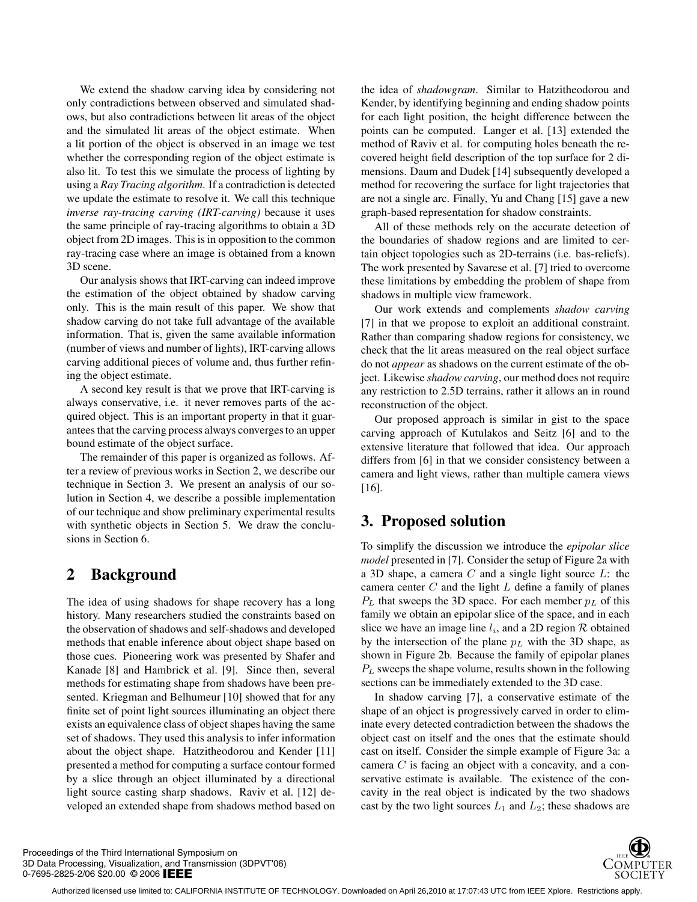We extend the shadow carving idea by considering not only contradictions between observed and simulated shadows, but also contradictions between lit areas of the object and the simulated lit areas of the object estimate. When a lit portion of the object is observed in an image we test whether the corresponding region of the object estimate is also lit. To test this we simulate the process of lighting by using a *Ray Tracing algorithm*. If a contradiction is detected we update the estimate to resolve it. We call this technique *inverse ray-tracing carving (IRT-carving)* because it uses the same principle of ray-tracing algorithms to obtain a 3D object from 2D images. This is in opposition to the common ray-tracing case where an image is obtained from a known 3D scene.

Our analysis shows that IRT-carving can indeed improve the estimation of the object obtained by shadow carving only. This is the main result of this paper. We show that shadow carving do not take full advantage of the available information. That is, given the same available information (number of views and number of lights), IRT-carving allows carving additional pieces of volume and, thus further refining the object estimate.

A second key result is that we prove that IRT-carving is always conservative, i.e. it never removes parts of the acquired object. This is an important property in that it guarantees that the carving process always converges to an upper bound estimate of the object surface.

The remainder of this paper is organized as follows. After a review of previous works in Section 2, we describe our technique in Section 3. We present an analysis of our solution in Section 4, we describe a possible implementation of our technique and show preliminary experimental results with synthetic objects in Section 5. We draw the conclusions in Section 6.

# **2 Background**

The idea of using shadows for shape recovery has a long history. Many researchers studied the constraints based on the observation of shadows and self-shadows and developed methods that enable inference about object shape based on those cues. Pioneering work was presented by Shafer and Kanade [8] and Hambrick et al. [9]. Since then, several methods for estimating shape from shadows have been presented. Kriegman and Belhumeur [10] showed that for any finite set of point light sources illuminating an object there exists an equivalence class of object shapes having the same set of shadows. They used this analysis to infer information about the object shape. Hatzitheodorou and Kender [11] presented a method for computing a surface contour formed by a slice through an object illuminated by a directional light source casting sharp shadows. Raviv et al. [12] developed an extended shape from shadows method based on

the idea of *shadowgram*. Similar to Hatzitheodorou and Kender, by identifying beginning and ending shadow points for each light position, the height difference between the points can be computed. Langer et al. [13] extended the method of Raviv et al. for computing holes beneath the recovered height field description of the top surface for 2 dimensions. Daum and Dudek [14] subsequently developed a method for recovering the surface for light trajectories that are not a single arc. Finally, Yu and Chang [15] gave a new graph-based representation for shadow constraints.

All of these methods rely on the accurate detection of the boundaries of shadow regions and are limited to certain object topologies such as 2D-terrains (i.e. bas-reliefs). The work presented by Savarese et al. [7] tried to overcome these limitations by embedding the problem of shape from shadows in multiple view framework.

Our work extends and complements *shadow carving* [7] in that we propose to exploit an additional constraint. Rather than comparing shadow regions for consistency, we check that the lit areas measured on the real object surface do not *appear* as shadows on the current estimate of the object. Likewise *shadow carving*, our method does not require any restriction to 2.5D terrains, rather it allows an in round reconstruction of the object.

Our proposed approach is similar in gist to the space carving approach of Kutulakos and Seitz [6] and to the extensive literature that followed that idea. Our approach differs from [6] in that we consider consistency between a camera and light views, rather than multiple camera views [16].

# **3. Proposed solution**

To simplify the discussion we introduce the *epipolar slice model* presented in [7]. Consider the setup of Figure 2a with a 3D shape, a camera  $C$  and a single light source  $L$ : the camera center  $C$  and the light  $L$  define a family of planes  $P_L$  that sweeps the 3D space. For each member  $p_L$  of this family we obtain an epipolar slice of the space, and in each slice we have an image line  $l_i$ , and a 2D region  $R$  obtained by the intersection of the plane  $p<sub>L</sub>$  with the 3D shape, as shown in Figure 2b. Because the family of epipolar planes  $P_L$  sweeps the shape volume, results shown in the following sections can be immediately extended to the 3D case.

In shadow carving [7], a conservative estimate of the shape of an object is progressively carved in order to eliminate every detected contradiction between the shadows the object cast on itself and the ones that the estimate should cast on itself. Consider the simple example of Figure 3a: a camera C is facing an object with a concavity, and a conservative estimate is available. The existence of the concavity in the real object is indicated by the two shadows cast by the two light sources  $L_1$  and  $L_2$ ; these shadows are

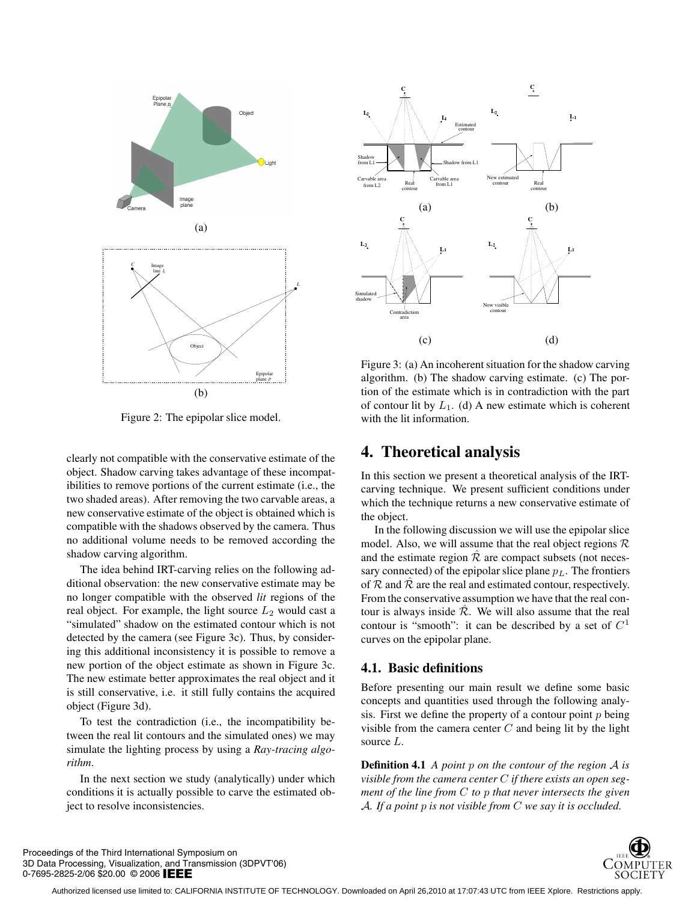

Figure 2: The epipolar slice model.

clearly not compatible with the conservative estimate of the object. Shadow carving takes advantage of these incompatibilities to remove portions of the current estimate (i.e., the two shaded areas). After removing the two carvable areas, a new conservative estimate of the object is obtained which is compatible with the shadows observed by the camera. Thus no additional volume needs to be removed according the shadow carving algorithm.

The idea behind IRT-carving relies on the following additional observation: the new conservative estimate may be no longer compatible with the observed *lit* regions of the real object. For example, the light source  $L_2$  would cast a "simulated" shadow on the estimated contour which is not detected by the camera (see Figure 3c). Thus, by considering this additional inconsistency it is possible to remove a new portion of the object estimate as shown in Figure 3c. The new estimate better approximates the real object and it is still conservative, i.e. it still fully contains the acquired object (Figure 3d).

To test the contradiction (i.e., the incompatibility between the real lit contours and the simulated ones) we may simulate the lighting process by using a *Ray-tracing algorithm*.

In the next section we study (analytically) under which conditions it is actually possible to carve the estimated object to resolve inconsistencies.



Figure 3: (a) An incoherent situation for the shadow carving algorithm. (b) The shadow carving estimate. (c) The portion of the estimate which is in contradiction with the part of contour lit by  $L_1$ . (d) A new estimate which is coherent with the lit information.

### **4. Theoretical analysis**

In this section we present a theoretical analysis of the IRTcarving technique. We present sufficient conditions under which the technique returns a new conservative estimate of the object.

In the following discussion we will use the epipolar slice model. Also, we will assume that the real object regions  $\mathcal R$ and the estimate region  $\hat{\mathcal{R}}$  are compact subsets (not necessary connected) of the epipolar slice plane  $p<sub>L</sub>$ . The frontiers of  $R$  and  $\bar{R}$  are the real and estimated contour, respectively. From the conservative assumption we have that the real contour is always inside  $\mathcal{R}$ . We will also assume that the real contour is "smooth": it can be described by a set of  $C<sup>1</sup>$ curves on the epipolar plane.

### **4.1. Basic definitions**

Before presenting our main result we define some basic concepts and quantities used through the following analysis. First we define the property of a contour point  $p$  being visible from the camera center  $C$  and being lit by the light source L.

**Definition 4.1** *A point* p *on the contour of the region* A *is visible from the camera center* C *if there exists an open segment of the line from* C *to* p *that never intersects the given* A*. If a point* p *is not visible from* C *we say it is occluded.*



Proceedings of the Third International Symposium on 3D Data Processing, Visualization, and Transmission (3DPVT'06) 0-7695-2825-2/06 \$20.00 © 2006 IEEE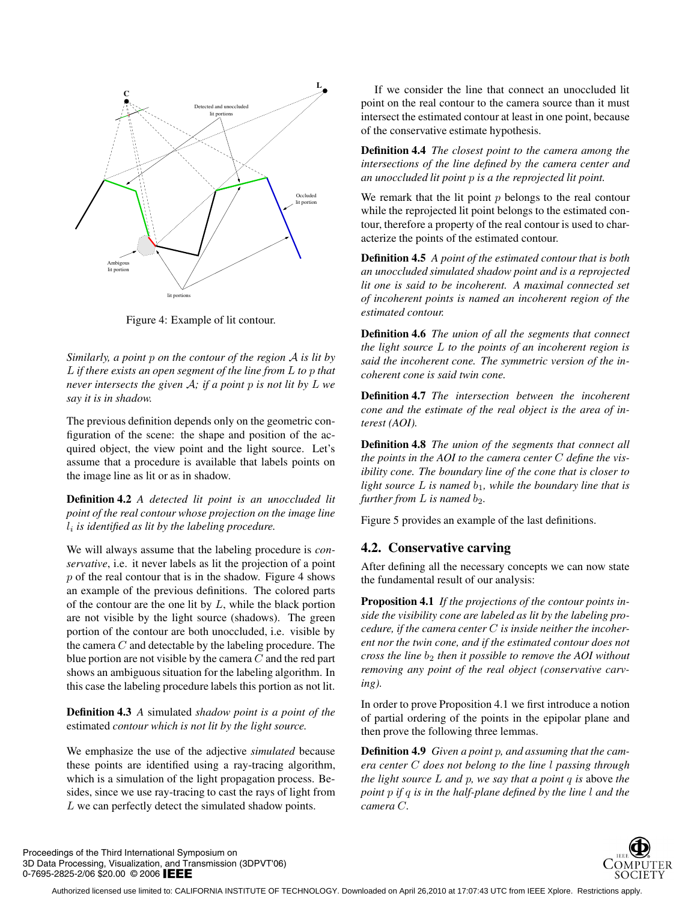

Figure 4: Example of lit contour.

*Similarly, a point* p *on the contour of the region* A *is lit by* L *if there exists an open segment of the line from* L *to* p *that never intersects the given* A*; if a point* p *is not lit by* L *we say it is in shadow.*

The previous definition depends only on the geometric configuration of the scene: the shape and position of the acquired object, the view point and the light source. Let's assume that a procedure is available that labels points on the image line as lit or as in shadow.

**Definition 4.2** *A detected lit point is an unoccluded lit point of the real contour whose projection on the image line* li *is identified as lit by the labeling procedure.*

We will always assume that the labeling procedure is *conservative*, i.e. it never labels as lit the projection of a point  $p$  of the real contour that is in the shadow. Figure 4 shows an example of the previous definitions. The colored parts of the contour are the one lit by  $L$ , while the black portion are not visible by the light source (shadows). The green portion of the contour are both unoccluded, i.e. visible by the camera  $C$  and detectable by the labeling procedure. The blue portion are not visible by the camera  $C$  and the red part shows an ambiguous situation for the labeling algorithm. In this case the labeling procedure labels this portion as not lit.

**Definition 4.3** *A* simulated *shadow point is a point of the* estimated *contour which is not lit by the light source.*

We emphasize the use of the adjective *simulated* because these points are identified using a ray-tracing algorithm, which is a simulation of the light propagation process. Besides, since we use ray-tracing to cast the rays of light from L we can perfectly detect the simulated shadow points.

If we consider the line that connect an unoccluded lit point on the real contour to the camera source than it must intersect the estimated contour at least in one point, because of the conservative estimate hypothesis.

**Definition 4.4** *The closest point to the camera among the intersections of the line defined by the camera center and an unoccluded lit point* p *is a the reprojected lit point.*

We remark that the lit point  $p$  belongs to the real contour while the reprojected lit point belongs to the estimated contour, therefore a property of the real contour is used to characterize the points of the estimated contour.

**Definition 4.5** *A point of the estimated contour that is both an unoccluded simulated shadow point and is a reprojected lit one is said to be incoherent. A maximal connected set of incoherent points is named an incoherent region of the estimated contour.*

**Definition 4.6** *The union of all the segments that connect the light source* L *to the points of an incoherent region is said the incoherent cone. The symmetric version of the incoherent cone is said twin cone.*

**Definition 4.7** *The intersection between the incoherent cone and the estimate of the real object is the area of interest (AOI).*

**Definition 4.8** *The union of the segments that connect all the points in the AOI to the camera center* C *define the visibility cone. The boundary line of the cone that is closer to light source*  $L$  *is named*  $b_1$ *, while the boundary line that is further from*  $L$  *is named*  $b_2$ *.* 

Figure 5 provides an example of the last definitions.

### **4.2. Conservative carving**

After defining all the necessary concepts we can now state the fundamental result of our analysis:

**Proposition 4.1** *If the projections of the contour points inside the visibility cone are labeled as lit by the labeling procedure, if the camera center* C *is inside neither the incoherent nor the twin cone, and if the estimated contour does not cross the line*  $b_2$  *then it possible to remove the AOI without removing any point of the real object (conservative carving).*

In order to prove Proposition 4.1 we first introduce a notion of partial ordering of the points in the epipolar plane and then prove the following three lemmas.

**Definition 4.9** *Given a point* p*, and assuming that the camera center* C *does not belong to the line* l *passing through the light source* L *and* p*, we say that a point* q *is* above *the point* p *if* q *is in the half-plane defined by the line* l *and the camera* C*.*

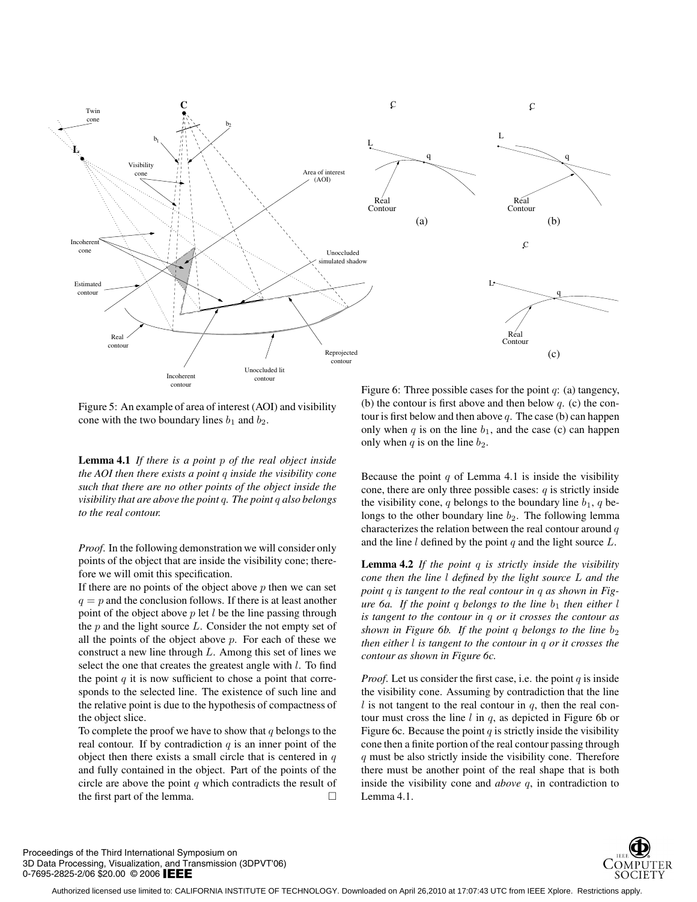

Figure 5: An example of area of interest (AOI) and visibility cone with the two boundary lines  $b_1$  and  $b_2$ .

**Lemma 4.1** *If there is a point* p *of the real object inside the AOI then there exists a point* q *inside the visibility cone such that there are no other points of the object inside the visibility that are above the point* q*. The point* q *also belongs to the real contour.*

*Proof*. In the following demonstration we will consider only points of the object that are inside the visibility cone; therefore we will omit this specification.

If there are no points of the object above  $p$  then we can set  $q = p$  and the conclusion follows. If there is at least another point of the object above  $p$  let  $l$  be the line passing through the  $p$  and the light source  $L$ . Consider the not empty set of all the points of the object above  $p$ . For each of these we construct a new line through  $L$ . Among this set of lines we select the one that creates the greatest angle with  $l$ . To find the point  $q$  it is now sufficient to chose a point that corresponds to the selected line. The existence of such line and the relative point is due to the hypothesis of compactness of the object slice.

To complete the proof we have to show that  $q$  belongs to the real contour. If by contradiction  $q$  is an inner point of the object then there exists a small circle that is centered in  $q$ and fully contained in the object. Part of the points of the circle are above the point  $q$  which contradicts the result of the first part of the lemma.

Figure 6: Three possible cases for the point  $q$ : (a) tangency, (b) the contour is first above and then below  $q$ . (c) the contour is first below and then above  $q$ . The case (b) can happen only when q is on the line  $b_1$ , and the case (c) can happen only when q is on the line  $b_2$ .

Because the point  $q$  of Lemma 4.1 is inside the visibility cone, there are only three possible cases:  $q$  is strictly inside the visibility cone, q belongs to the boundary line  $b_1$ , q belongs to the other boundary line  $b_2$ . The following lemma characterizes the relation between the real contour around  $q$ and the line  $l$  defined by the point  $q$  and the light source  $L$ .

**Lemma 4.2** *If the point* q *is strictly inside the visibility cone then the line* l *defined by the light source* L *and the point* q *is tangent to the real contour in* q *as shown in Figure 6a. If the point q belongs to the line*  $b_1$  *then either* l *is tangent to the contour in* q *or it crosses the contour as shown in Figure 6b. If the point q belongs to the line*  $b_2$ *then either* l *is tangent to the contour in* q *or it crosses the contour as shown in Figure 6c.*

*Proof.* Let us consider the first case, i.e. the point  $q$  is inside the visibility cone. Assuming by contradiction that the line  $l$  is not tangent to the real contour in  $q$ , then the real contour must cross the line  $l$  in  $q$ , as depicted in Figure 6b or Figure 6c. Because the point  $q$  is strictly inside the visibility cone then a finite portion of the real contour passing through q must be also strictly inside the visibility cone. Therefore there must be another point of the real shape that is both inside the visibility cone and *above* q, in contradiction to Lemma 4.1.



Proceedings of the Third International Symposium on 3D Data Processing, Visualization, and Transmission (3DPVT'06) 0-7695-2825-2/06 \$20.00 © 2006 IEEE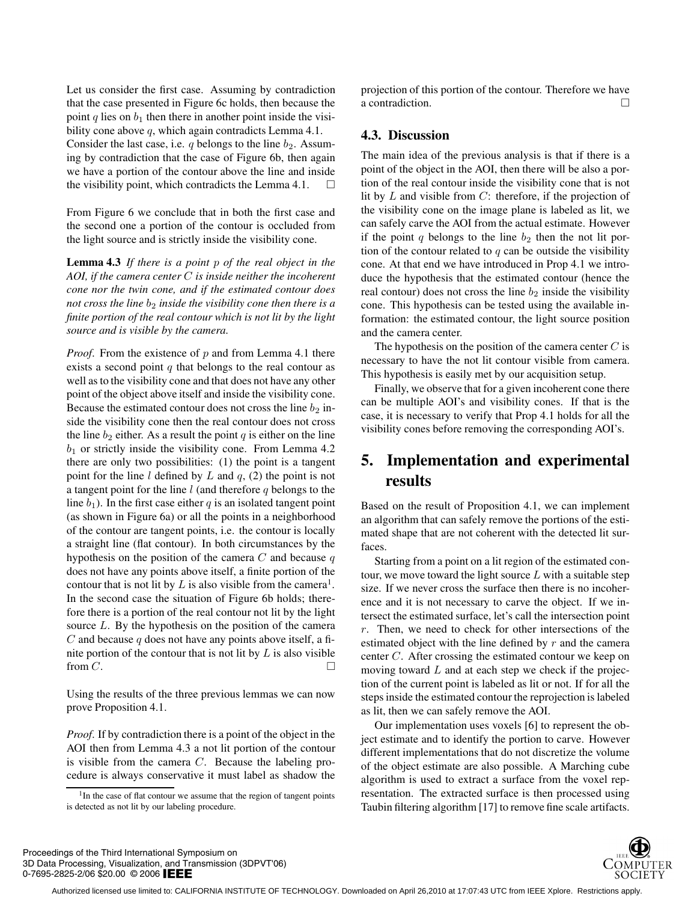Let us consider the first case. Assuming by contradiction that the case presented in Figure 6c holds, then because the point q lies on  $b_1$  then there in another point inside the visibility cone above q, which again contradicts Lemma 4.1. Consider the last case, i.e.  $q$  belongs to the line  $b_2$ . Assuming by contradiction that the case of Figure 6b, then again we have a portion of the contour above the line and inside the visibility point, which contradicts the Lemma 4.1.  $\Box$ 

From Figure 6 we conclude that in both the first case and the second one a portion of the contour is occluded from the light source and is strictly inside the visibility cone.

**Lemma 4.3** *If there is a point* p *of the real object in the AOI, if the camera center* C *is inside neither the incoherent cone nor the twin cone, and if the estimated contour does not cross the line*  $b_2$  *inside the visibility cone then there is a finite portion of the real contour which is not lit by the light source and is visible by the camera.*

*Proof.* From the existence of p and from Lemma 4.1 there exists a second point  $q$  that belongs to the real contour as well as to the visibility cone and that does not have any other point of the object above itself and inside the visibility cone. Because the estimated contour does not cross the line  $b_2$  inside the visibility cone then the real contour does not cross the line  $b_2$  either. As a result the point q is either on the line  $b_1$  or strictly inside the visibility cone. From Lemma 4.2 there are only two possibilities: (1) the point is a tangent point for the line  $l$  defined by  $L$  and  $q$ , (2) the point is not a tangent point for the line  $l$  (and therefore  $q$  belongs to the line  $b_1$ ). In the first case either q is an isolated tangent point (as shown in Figure 6a) or all the points in a neighborhood of the contour are tangent points, i.e. the contour is locally a straight line (flat contour). In both circumstances by the hypothesis on the position of the camera  $C$  and because  $q$ does not have any points above itself, a finite portion of the contour that is not lit by L is also visible from the camera<sup>1</sup>. In the second case the situation of Figure 6b holds; therefore there is a portion of the real contour not lit by the light source  $L$ . By the hypothesis on the position of the camera C and because q does not have any points above itself, a finite portion of the contour that is not lit by  $L$  is also visible from  $C$ .

Using the results of the three previous lemmas we can now prove Proposition 4.1.

*Proof*. If by contradiction there is a point of the object in the AOI then from Lemma 4.3 a not lit portion of the contour is visible from the camera  $C$ . Because the labeling procedure is always conservative it must label as shadow the

projection of this portion of the contour. Therefore we have a contradiction.

#### **4.3. Discussion**

The main idea of the previous analysis is that if there is a point of the object in the AOI, then there will be also a portion of the real contour inside the visibility cone that is not lit by  $L$  and visible from  $C$ : therefore, if the projection of the visibility cone on the image plane is labeled as lit, we can safely carve the AOI from the actual estimate. However if the point  $q$  belongs to the line  $b_2$  then the not lit portion of the contour related to  $q$  can be outside the visibility cone. At that end we have introduced in Prop 4.1 we introduce the hypothesis that the estimated contour (hence the real contour) does not cross the line  $b_2$  inside the visibility cone. This hypothesis can be tested using the available information: the estimated contour, the light source position and the camera center.

The hypothesis on the position of the camera center  $C$  is necessary to have the not lit contour visible from camera. This hypothesis is easily met by our acquisition setup.

Finally, we observe that for a given incoherent cone there can be multiple AOI's and visibility cones. If that is the case, it is necessary to verify that Prop 4.1 holds for all the visibility cones before removing the corresponding AOI's.

# **5. Implementation and experimental results**

Based on the result of Proposition 4.1, we can implement an algorithm that can safely remove the portions of the estimated shape that are not coherent with the detected lit surfaces.

Starting from a point on a lit region of the estimated contour, we move toward the light source  $L$  with a suitable step size. If we never cross the surface then there is no incoherence and it is not necessary to carve the object. If we intersect the estimated surface, let's call the intersection point  $r$ . Then, we need to check for other intersections of the estimated object with the line defined by r and the camera center C. After crossing the estimated contour we keep on moving toward  $L$  and at each step we check if the projection of the current point is labeled as lit or not. If for all the steps inside the estimated contour the reprojection is labeled as lit, then we can safely remove the AOI.

Our implementation uses voxels [6] to represent the object estimate and to identify the portion to carve. However different implementations that do not discretize the volume of the object estimate are also possible. A Marching cube algorithm is used to extract a surface from the voxel representation. The extracted surface is then processed using Taubin filtering algorithm [17] to remove fine scale artifacts.



<sup>&</sup>lt;sup>1</sup>In the case of flat contour we assume that the region of tangent points is detected as not lit by our labeling procedure.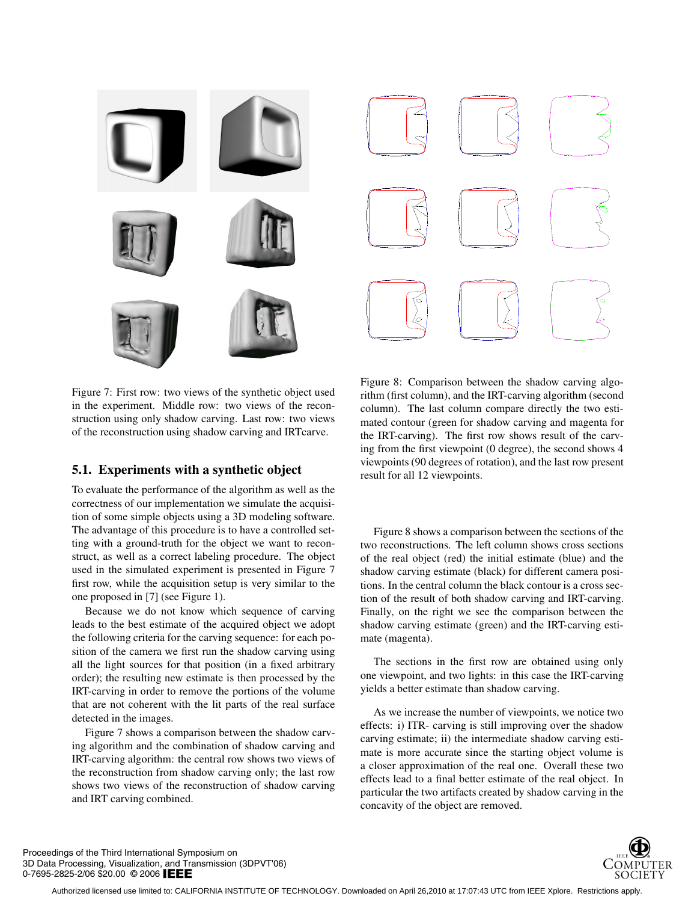

Figure 7: First row: two views of the synthetic object used in the experiment. Middle row: two views of the reconstruction using only shadow carving. Last row: two views of the reconstruction using shadow carving and IRTcarve.

### **5.1. Experiments with a synthetic object**

To evaluate the performance of the algorithm as well as the correctness of our implementation we simulate the acquisition of some simple objects using a 3D modeling software. The advantage of this procedure is to have a controlled setting with a ground-truth for the object we want to reconstruct, as well as a correct labeling procedure. The object used in the simulated experiment is presented in Figure 7 first row, while the acquisition setup is very similar to the one proposed in [7] (see Figure 1).

Because we do not know which sequence of carving leads to the best estimate of the acquired object we adopt the following criteria for the carving sequence: for each position of the camera we first run the shadow carving using all the light sources for that position (in a fixed arbitrary order); the resulting new estimate is then processed by the IRT-carving in order to remove the portions of the volume that are not coherent with the lit parts of the real surface detected in the images.

Figure 7 shows a comparison between the shadow carving algorithm and the combination of shadow carving and IRT-carving algorithm: the central row shows two views of the reconstruction from shadow carving only; the last row shows two views of the reconstruction of shadow carving and IRT carving combined.

Figure 8: Comparison between the shadow carving algorithm (first column), and the IRT-carving algorithm (second column). The last column compare directly the two estimated contour (green for shadow carving and magenta for the IRT-carving). The first row shows result of the carving from the first viewpoint (0 degree), the second shows 4 viewpoints (90 degrees of rotation), and the last row present result for all 12 viewpoints.

Figure 8 shows a comparison between the sections of the two reconstructions. The left column shows cross sections of the real object (red) the initial estimate (blue) and the shadow carving estimate (black) for different camera positions. In the central column the black contour is a cross section of the result of both shadow carving and IRT-carving. Finally, on the right we see the comparison between the shadow carving estimate (green) and the IRT-carving estimate (magenta).

The sections in the first row are obtained using only one viewpoint, and two lights: in this case the IRT-carving yields a better estimate than shadow carving.

As we increase the number of viewpoints, we notice two effects: i) ITR- carving is still improving over the shadow carving estimate; ii) the intermediate shadow carving estimate is more accurate since the starting object volume is a closer approximation of the real one. Overall these two effects lead to a final better estimate of the real object. In particular the two artifacts created by shadow carving in the concavity of the object are removed.



Proceedings of the Third International Symposium on 3D Data Processing, Visualization, and Transmission (3DPVT'06) 0-7695-2825-2/06 \$20.00 © 2006 IEEE